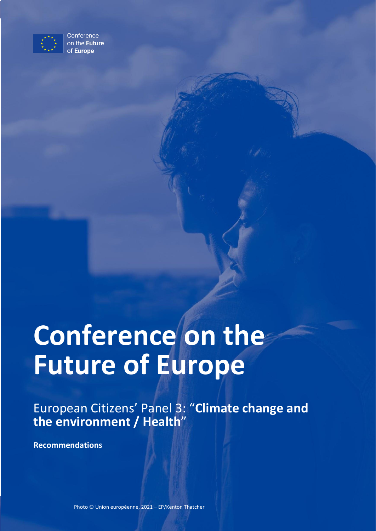

Conference on the Future of Europe

# Conference on the **Future of Europe**

European Citizens' Panel 3: "**Climate change and the environment / Health**"

**Recommendations**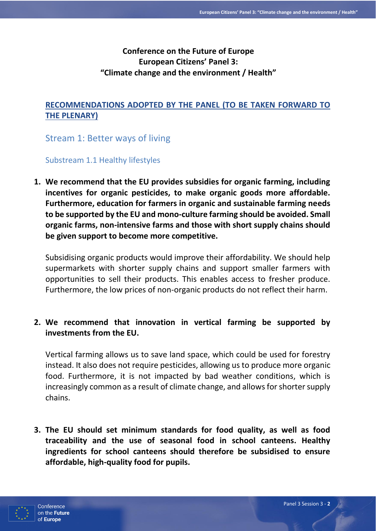# **Conference on the Future of Europe European Citizens' Panel 3: "Climate change and the environment / Health"**

# **RECOMMENDATIONS ADOPTED BY THE PANEL (TO BE TAKEN FORWARD TO THE PLENARY)**

Stream 1: Better ways of living

Substream 1.1 Healthy lifestyles

**1. We recommend that the EU provides subsidies for organic farming, including incentives for organic pesticides, to make organic goods more affordable. Furthermore, education for farmers in organic and sustainable farming needs to be supported by the EU and mono-culture farming should be avoided. Small organic farms, non-intensive farms and those with short supply chains should be given support to become more competitive.** 

Subsidising organic products would improve their affordability. We should help supermarkets with shorter supply chains and support smaller farmers with opportunities to sell their products. This enables access to fresher produce. Furthermore, the low prices of non-organic products do not reflect their harm.

# **2. We recommend that innovation in vertical farming be supported by investments from the EU.**

Vertical farming allows us to save land space, which could be used for forestry instead. It also does not require pesticides, allowing us to produce more organic food. Furthermore, it is not impacted by bad weather conditions, which is increasingly common as a result of climate change, and allows for shorter supply chains.

**3. The EU should set minimum standards for food quality, as well as food traceability and the use of seasonal food in school canteens. Healthy ingredients for school canteens should therefore be subsidised to ensure affordable, high-quality food for pupils.** 

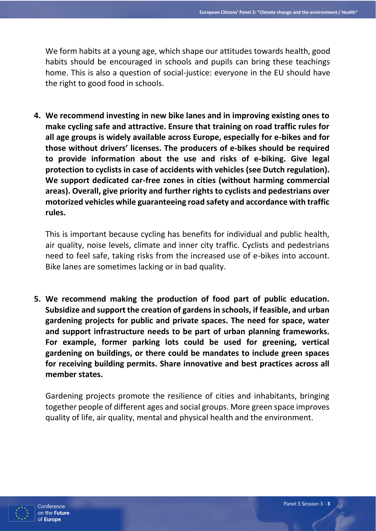We form habits at a young age, which shape our attitudes towards health, good habits should be encouraged in schools and pupils can bring these teachings home. This is also a question of social-justice: everyone in the EU should have the right to good food in schools.

**4. We recommend investing in new bike lanes and in improving existing ones to make cycling safe and attractive. Ensure that training on road traffic rules for all age groups is widely available across Europe, especially for e-bikes and for those without drivers' licenses. The producers of e-bikes should be required to provide information about the use and risks of e-biking. Give legal protection to cyclists in case of accidents with vehicles (see Dutch regulation). We support dedicated car-free zones in cities (without harming commercial areas). Overall, give priority and further rights to cyclists and pedestrians over motorized vehicles while guaranteeing road safety and accordance with traffic rules.** 

This is important because cycling has benefits for individual and public health, air quality, noise levels, climate and inner city traffic. Cyclists and pedestrians need to feel safe, taking risks from the increased use of e-bikes into account. Bike lanes are sometimes lacking or in bad quality.

**5. We recommend making the production of food part of public education. Subsidize and support the creation of gardens in schools, if feasible, and urban gardening projects for public and private spaces. The need for space, water and support infrastructure needs to be part of urban planning frameworks. For example, former parking lots could be used for greening, vertical gardening on buildings, or there could be mandates to include green spaces for receiving building permits. Share innovative and best practices across all member states.**

Gardening projects promote the resilience of cities and inhabitants, bringing together people of different ages and social groups. More green space improves quality of life, air quality, mental and physical health and the environment.

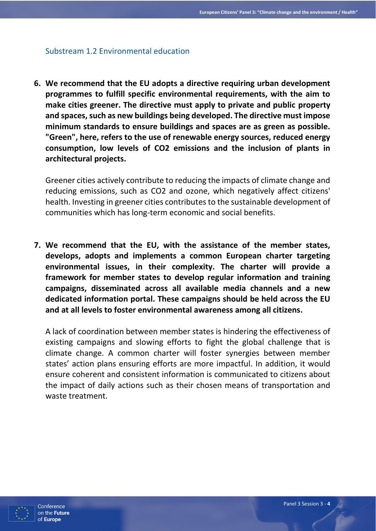## Substream 1.2 Environmental education

**6. We recommend that the EU adopts a directive requiring urban development programmes to fulfill specific environmental requirements, with the aim to make cities greener. The directive must apply to private and public property and spaces, such as new buildings being developed. The directive must impose minimum standards to ensure buildings and spaces are as green as possible. "Green", here, refers to the use of renewable energy sources, reduced energy consumption, low levels of CO2 emissions and the inclusion of plants in architectural projects.**

Greener cities actively contribute to reducing the impacts of climate change and reducing emissions, such as CO2 and ozone, which negatively affect citizens' health. Investing in greener cities contributes to the sustainable development of communities which has long-term economic and social benefits.

**7. We recommend that the EU, with the assistance of the member states, develops, adopts and implements a common European charter targeting environmental issues, in their complexity. The charter will provide a framework for member states to develop regular information and training campaigns, disseminated across all available media channels and a new dedicated information portal. These campaigns should be held across the EU and at all levels to foster environmental awareness among all citizens.** 

A lack of coordination between member states is hindering the effectiveness of existing campaigns and slowing efforts to fight the global challenge that is climate change. A common charter will foster synergies between member states' action plans ensuring efforts are more impactful. In addition, it would ensure coherent and consistent information is communicated to citizens about the impact of daily actions such as their chosen means of transportation and waste treatment.

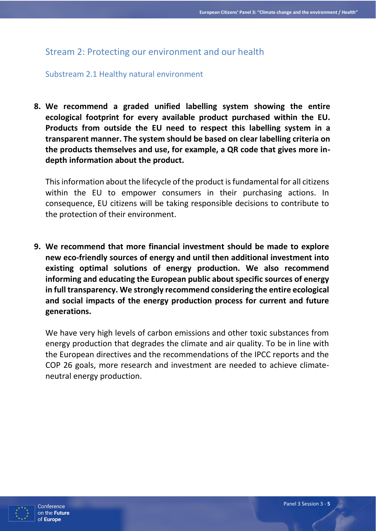# Stream 2: Protecting our environment and our health

## Substream 2.1 Healthy natural environment

**8. We recommend a graded unified labelling system showing the entire ecological footprint for every available product purchased within the EU. Products from outside the EU need to respect this labelling system in a transparent manner. The system should be based on clear labelling criteria on the products themselves and use, for example, a QR code that gives more indepth information about the product.** 

This information about the lifecycle of the product is fundamental for all citizens within the EU to empower consumers in their purchasing actions. In consequence, EU citizens will be taking responsible decisions to contribute to the protection of their environment.

**9. We recommend that more financial investment should be made to explore new eco-friendly sources of energy and until then additional investment into existing optimal solutions of energy production. We also recommend informing and educating the European public about specific sources of energy in full transparency. We strongly recommend considering the entire ecological and social impacts of the energy production process for current and future generations.**

We have very high levels of carbon emissions and other toxic substances from energy production that degrades the climate and air quality. To be in line with the European directives and the recommendations of the IPCC reports and the COP 26 goals, more research and investment are needed to achieve climateneutral energy production.

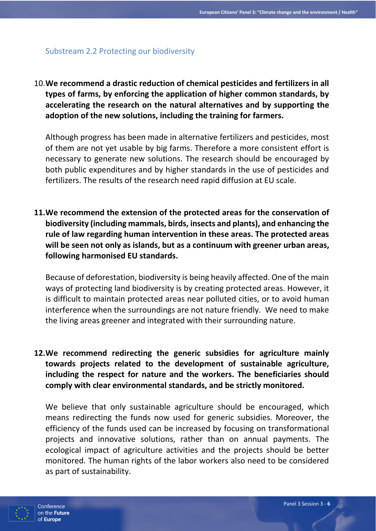## Substream 2.2 Protecting our biodiversity

10.**We recommend a drastic reduction of chemical pesticides and fertilizers in all types of farms, by enforcing the application of higher common standards, by accelerating the research on the natural alternatives and by supporting the adoption of the new solutions, including the training for farmers.**

Although progress has been made in alternative fertilizers and pesticides, most of them are not yet usable by big farms. Therefore a more consistent effort is necessary to generate new solutions. The research should be encouraged by both public expenditures and by higher standards in the use of pesticides and fertilizers. The results of the research need rapid diffusion at EU scale.

**11.We recommend the extension of the protected areas for the conservation of biodiversity (including mammals, birds, insects and plants), and enhancing the rule of law regarding human intervention in these areas. The protected areas will be seen not only as islands, but as a continuum with greener urban areas, following harmonised EU standards.**

Because of deforestation, biodiversity is being heavily affected. One of the main ways of protecting land biodiversity is by creating protected areas. However, it is difficult to maintain protected areas near polluted cities, or to avoid human interference when the surroundings are not nature friendly. We need to make the living areas greener and integrated with their surrounding nature.

**12.We recommend redirecting the generic subsidies for agriculture mainly towards projects related to the development of sustainable agriculture, including the respect for nature and the workers. The beneficiaries should comply with clear environmental standards, and be strictly monitored.**

We believe that only sustainable agriculture should be encouraged, which means redirecting the funds now used for generic subsidies. Moreover, the efficiency of the funds used can be increased by focusing on transformational projects and innovative solutions, rather than on annual payments. The ecological impact of agriculture activities and the projects should be better monitored. The human rights of the labor workers also need to be considered as part of sustainability.

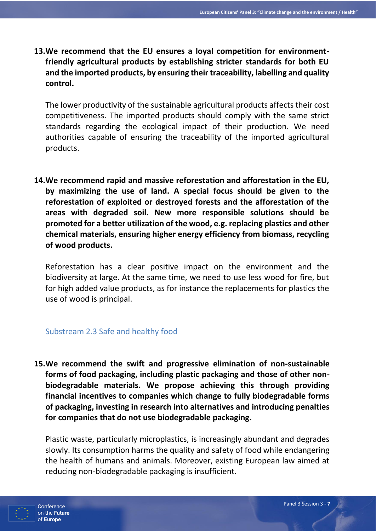**13.We recommend that the EU ensures a loyal competition for environmentfriendly agricultural products by establishing stricter standards for both EU and the imported products, by ensuring their traceability, labelling and quality control.**

The lower productivity of the sustainable agricultural products affects their cost competitiveness. The imported products should comply with the same strict standards regarding the ecological impact of their production. We need authorities capable of ensuring the traceability of the imported agricultural products.

**14.We recommend rapid and massive reforestation and afforestation in the EU, by maximizing the use of land. A special focus should be given to the reforestation of exploited or destroyed forests and the afforestation of the areas with degraded soil. New more responsible solutions should be promoted for a better utilization of the wood, e.g. replacing plastics and other chemical materials, ensuring higher energy efficiency from biomass, recycling of wood products.**

Reforestation has a clear positive impact on the environment and the biodiversity at large. At the same time, we need to use less wood for fire, but for high added value products, as for instance the replacements for plastics the use of wood is principal.

# Substream 2.3 Safe and healthy food

**15.We recommend the swift and progressive elimination of non-sustainable forms of food packaging, including plastic packaging and those of other nonbiodegradable materials. We propose achieving this through providing financial incentives to companies which change to fully biodegradable forms of packaging, investing in research into alternatives and introducing penalties for companies that do not use biodegradable packaging.**

Plastic waste, particularly microplastics, is increasingly abundant and degrades slowly. Its consumption harms the quality and safety of food while endangering the health of humans and animals. Moreover, existing European law aimed at reducing non-biodegradable packaging is insufficient.

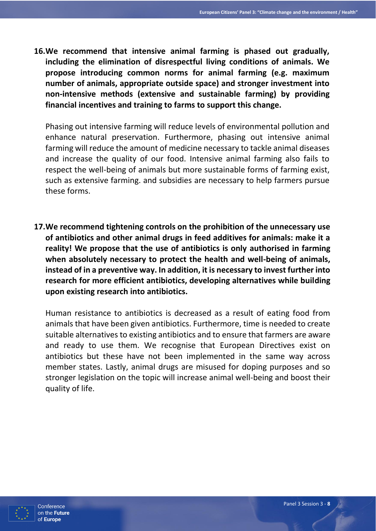**16.We recommend that intensive animal farming is phased out gradually, including the elimination of disrespectful living conditions of animals. We propose introducing common norms for animal farming (e.g. maximum number of animals, appropriate outside space) and stronger investment into non-intensive methods (extensive and sustainable farming) by providing financial incentives and training to farms to support this change.**

Phasing out intensive farming will reduce levels of environmental pollution and enhance natural preservation. Furthermore, phasing out intensive animal farming will reduce the amount of medicine necessary to tackle animal diseases and increase the quality of our food. Intensive animal farming also fails to respect the well-being of animals but more sustainable forms of farming exist, such as extensive farming. and subsidies are necessary to help farmers pursue these forms.

**17.We recommend tightening controls on the prohibition of the unnecessary use of antibiotics and other animal drugs in feed additives for animals: make it a reality! We propose that the use of antibiotics is only authorised in farming when absolutely necessary to protect the health and well-being of animals, instead of in a preventive way. In addition, it is necessary to invest further into research for more efficient antibiotics, developing alternatives while building upon existing research into antibiotics.**

Human resistance to antibiotics is decreased as a result of eating food from animals that have been given antibiotics. Furthermore, time is needed to create suitable alternatives to existing antibiotics and to ensure that farmers are aware and ready to use them. We recognise that European Directives exist on antibiotics but these have not been implemented in the same way across member states. Lastly, animal drugs are misused for doping purposes and so stronger legislation on the topic will increase animal well-being and boost their quality of life.

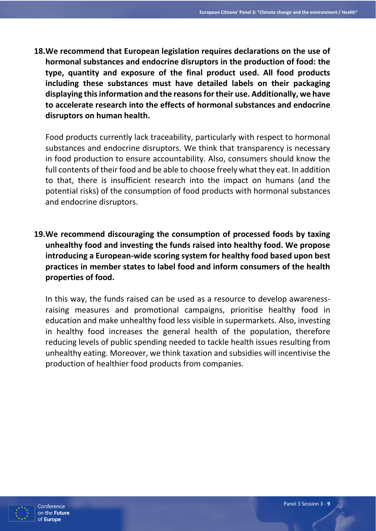**18.We recommend that European legislation requires declarations on the use of hormonal substances and endocrine disruptors in the production of food: the type, quantity and exposure of the final product used. All food products including these substances must have detailed labels on their packaging displaying this information and the reasons for their use. Additionally, we have to accelerate research into the effects of hormonal substances and endocrine disruptors on human health.**

Food products currently lack traceability, particularly with respect to hormonal substances and endocrine disruptors. We think that transparency is necessary in food production to ensure accountability. Also, consumers should know the full contents of their food and be able to choose freely what they eat. In addition to that, there is insufficient research into the impact on humans (and the potential risks) of the consumption of food products with hormonal substances and endocrine disruptors.

**19.We recommend discouraging the consumption of processed foods by taxing unhealthy food and investing the funds raised into healthy food. We propose introducing a European-wide scoring system for healthy food based upon best practices in member states to label food and inform consumers of the health properties of food.** 

In this way, the funds raised can be used as a resource to develop awarenessraising measures and promotional campaigns, prioritise healthy food in education and make unhealthy food less visible in supermarkets. Also, investing in healthy food increases the general health of the population, therefore reducing levels of public spending needed to tackle health issues resulting from unhealthy eating. Moreover, we think taxation and subsidies will incentivise the production of healthier food products from companies.

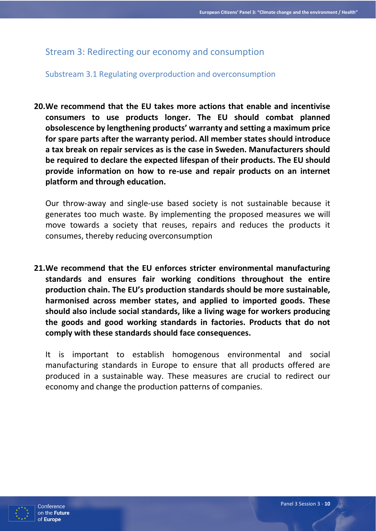# Stream 3: Redirecting our economy and consumption

## Substream 3.1 Regulating overproduction and overconsumption

**20.We recommend that the EU takes more actions that enable and incentivise consumers to use products longer. The EU should combat planned obsolescence by lengthening products' warranty and setting a maximum price for spare parts after the warranty period. All member states should introduce a tax break on repair services as is the case in Sweden. Manufacturers should be required to declare the expected lifespan of their products. The EU should provide information on how to re-use and repair products on an internet platform and through education.**

Our throw-away and single-use based society is not sustainable because it generates too much waste. By implementing the proposed measures we will move towards a society that reuses, repairs and reduces the products it consumes, thereby reducing overconsumption

**21.We recommend that the EU enforces stricter environmental manufacturing standards and ensures fair working conditions throughout the entire production chain. The EU's production standards should be more sustainable, harmonised across member states, and applied to imported goods. These should also include social standards, like a living wage for workers producing the goods and good working standards in factories. Products that do not comply with these standards should face consequences.**

It is important to establish homogenous environmental and social manufacturing standards in Europe to ensure that all products offered are produced in a sustainable way. These measures are crucial to redirect our economy and change the production patterns of companies.

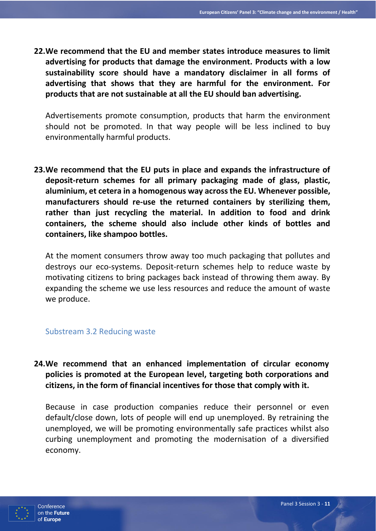**22.We recommend that the EU and member states introduce measures to limit advertising for products that damage the environment. Products with a low sustainability score should have a mandatory disclaimer in all forms of advertising that shows that they are harmful for the environment. For products that are not sustainable at all the EU should ban advertising.**

Advertisements promote consumption, products that harm the environment should not be promoted. In that way people will be less inclined to buy environmentally harmful products.

**23.We recommend that the EU puts in place and expands the infrastructure of deposit-return schemes for all primary packaging made of glass, plastic, aluminium, et cetera in a homogenous way across the EU. Whenever possible, manufacturers should re-use the returned containers by sterilizing them, rather than just recycling the material. In addition to food and drink containers, the scheme should also include other kinds of bottles and containers, like shampoo bottles.**

At the moment consumers throw away too much packaging that pollutes and destroys our eco-systems. Deposit-return schemes help to reduce waste by motivating citizens to bring packages back instead of throwing them away. By expanding the scheme we use less resources and reduce the amount of waste we produce.

#### Substream 3.2 Reducing waste

**24.We recommend that an enhanced implementation of circular economy policies is promoted at the European level, targeting both corporations and citizens, in the form of financial incentives for those that comply with it.**

Because in case production companies reduce their personnel or even default/close down, lots of people will end up unemployed. By retraining the unemployed, we will be promoting environmentally safe practices whilst also curbing unemployment and promoting the modernisation of a diversified economy.

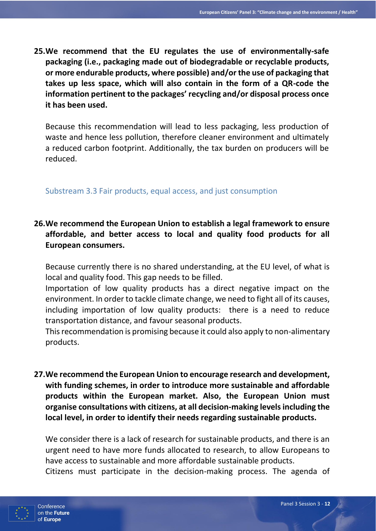**25.We recommend that the EU regulates the use of environmentally-safe packaging (i.e., packaging made out of biodegradable or recyclable products, or more endurable products, where possible) and/or the use of packaging that takes up less space, which will also contain in the form of a QR-code the information pertinent to the packages' recycling and/or disposal process once it has been used.**

Because this recommendation will lead to less packaging, less production of waste and hence less pollution, therefore cleaner environment and ultimately a reduced carbon footprint. Additionally, the tax burden on producers will be reduced.

## Substream 3.3 Fair products, equal access, and just consumption

# **26.We recommend the European Union to establish a legal framework to ensure affordable, and better access to local and quality food products for all European consumers.**

Because currently there is no shared understanding, at the EU level, of what is local and quality food. This gap needs to be filled.

Importation of low quality products has a direct negative impact on the environment. In order to tackle climate change, we need to fight all of its causes, including importation of low quality products: there is a need to reduce transportation distance, and favour seasonal products.

This recommendation is promising because it could also apply to non-alimentary products.

**27.We recommend the European Union to encourage research and development, with funding schemes, in order to introduce more sustainable and affordable products within the European market. Also, the European Union must organise consultations with citizens, at all decision-making levels including the local level, in order to identify their needs regarding sustainable products.**

We consider there is a lack of research for sustainable products, and there is an urgent need to have more funds allocated to research, to allow Europeans to have access to sustainable and more affordable sustainable products.

Citizens must participate in the decision-making process. The agenda of

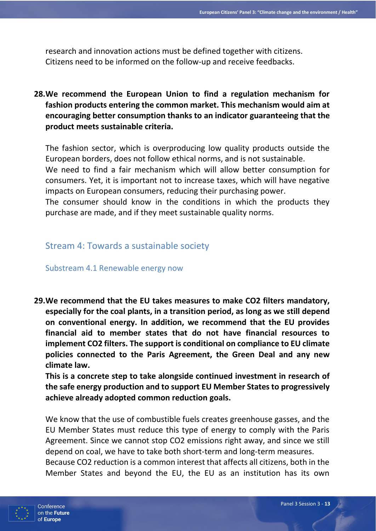research and innovation actions must be defined together with citizens. Citizens need to be informed on the follow-up and receive feedbacks.

**28.We recommend the European Union to find a regulation mechanism for fashion products entering the common market. This mechanism would aim at encouraging better consumption thanks to an indicator guaranteeing that the product meets sustainable criteria.**

The fashion sector, which is overproducing low quality products outside the European borders, does not follow ethical norms, and is not sustainable. We need to find a fair mechanism which will allow better consumption for consumers. Yet, it is important not to increase taxes, which will have negative impacts on European consumers, reducing their purchasing power.

The consumer should know in the conditions in which the products they purchase are made, and if they meet sustainable quality norms.

# Stream 4: Towards a sustainable society

Substream 4.1 Renewable energy now

**29.We recommend that the EU takes measures to make CO2 filters mandatory, especially for the coal plants, in a transition period, as long as we still depend on conventional energy. In addition, we recommend that the EU provides financial aid to member states that do not have financial resources to implement CO2 filters. The support is conditional on compliance to EU climate policies connected to the Paris Agreement, the Green Deal and any new climate law.**

**This is a concrete step to take alongside continued investment in research of the safe energy production and to support EU Member States to progressively achieve already adopted common reduction goals.**

We know that the use of combustible fuels creates greenhouse gasses, and the EU Member States must reduce this type of energy to comply with the Paris Agreement. Since we cannot stop CO2 emissions right away, and since we still depend on coal, we have to take both short-term and long-term measures. Because CO2 reduction is a common interest that affects all citizens, both in the Member States and beyond the EU, the EU as an institution has its own

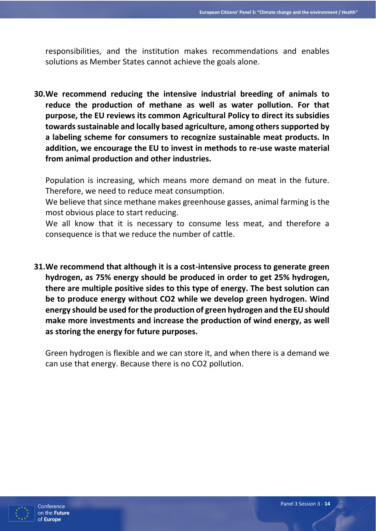responsibilities, and the institution makes recommendations and enables solutions as Member States cannot achieve the goals alone.

**30.We recommend reducing the intensive industrial breeding of animals to reduce the production of methane as well as water pollution. For that purpose, the EU reviews its common Agricultural Policy to direct its subsidies towards sustainable and locally based agriculture, among others supported by a labeling scheme for consumers to recognize sustainable meat products. In addition, we encourage the EU to invest in methods to re-use waste material from animal production and other industries.**

Population is increasing, which means more demand on meat in the future. Therefore, we need to reduce meat consumption.

We believe that since methane makes greenhouse gasses, animal farming is the most obvious place to start reducing.

We all know that it is necessary to consume less meat, and therefore a consequence is that we reduce the number of cattle.

**31.We recommend that although it is a cost-intensive process to generate green hydrogen, as 75% energy should be produced in order to get 25% hydrogen, there are multiple positive sides to this type of energy. The best solution can be to produce energy without CO2 while we develop green hydrogen. Wind energy should be used for the production of green hydrogen and the EU should make more investments and increase the production of wind energy, as well as storing the energy for future purposes.**

Green hydrogen is flexible and we can store it, and when there is a demand we can use that energy. Because there is no CO2 pollution.

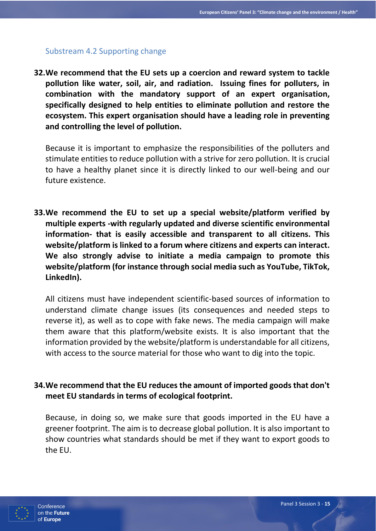## Substream 4.2 Supporting change

**32.We recommend that the EU sets up a coercion and reward system to tackle pollution like water, soil, air, and radiation. Issuing fines for polluters, in combination with the mandatory support of an expert organisation, specifically designed to help entities to eliminate pollution and restore the ecosystem. This expert organisation should have a leading role in preventing and controlling the level of pollution.**

Because it is important to emphasize the responsibilities of the polluters and stimulate entities to reduce pollution with a strive for zero pollution. It is crucial to have a healthy planet since it is directly linked to our well-being and our future existence.

**33.We recommend the EU to set up a special website/platform verified by multiple experts -with regularly updated and diverse scientific environmental information- that is easily accessible and transparent to all citizens. This website/platform is linked to a forum where citizens and experts can interact. We also strongly advise to initiate a media campaign to promote this website/platform (for instance through social media such as YouTube, TikTok, LinkedIn).**

All citizens must have independent scientific-based sources of information to understand climate change issues (its consequences and needed steps to reverse it), as well as to cope with fake news. The media campaign will make them aware that this platform/website exists. It is also important that the information provided by the website/platform is understandable for all citizens, with access to the source material for those who want to dig into the topic.

# **34.We recommend that the EU reduces the amount of imported goods that don't meet EU standards in terms of ecological footprint.**

Because, in doing so, we make sure that goods imported in the EU have a greener footprint. The aim is to decrease global pollution. It is also important to show countries what standards should be met if they want to export goods to the EU.

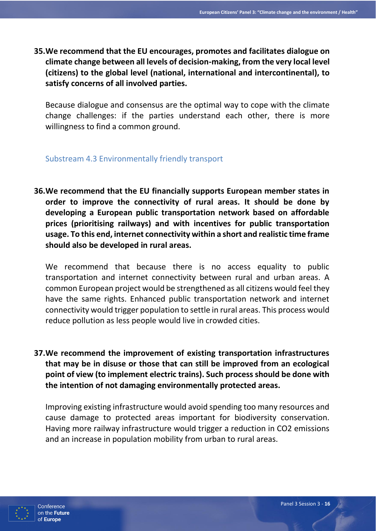**35.We recommend that the EU encourages, promotes and facilitates dialogue on climate change between all levels of decision-making, from the very local level (citizens) to the global level (national, international and intercontinental), to satisfy concerns of all involved parties.**

Because dialogue and consensus are the optimal way to cope with the climate change challenges: if the parties understand each other, there is more willingness to find a common ground.

## Substream 4.3 Environmentally friendly transport

**36.We recommend that the EU financially supports European member states in order to improve the connectivity of rural areas. It should be done by developing a European public transportation network based on affordable prices (prioritising railways) and with incentives for public transportation usage. To this end, internet connectivity within a short and realistic time frame should also be developed in rural areas.**

We recommend that because there is no access equality to public transportation and internet connectivity between rural and urban areas. A common European project would be strengthened as all citizens would feel they have the same rights. Enhanced public transportation network and internet connectivity would trigger population to settle in rural areas. This process would reduce pollution as less people would live in crowded cities.

**37.We recommend the improvement of existing transportation infrastructures that may be in disuse or those that can still be improved from an ecological point of view (to implement electric trains). Such process should be done with the intention of not damaging environmentally protected areas.**

Improving existing infrastructure would avoid spending too many resources and cause damage to protected areas important for biodiversity conservation. Having more railway infrastructure would trigger a reduction in CO2 emissions and an increase in population mobility from urban to rural areas.

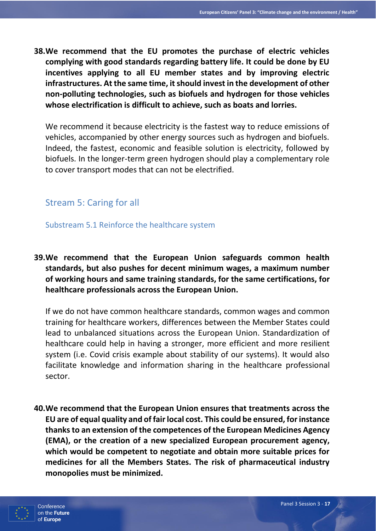**38.We recommend that the EU promotes the purchase of electric vehicles complying with good standards regarding battery life. It could be done by EU incentives applying to all EU member states and by improving electric infrastructures. At the same time, it should invest in the development of other non-polluting technologies, such as biofuels and hydrogen for those vehicles whose electrification is difficult to achieve, such as boats and lorries.**

We recommend it because electricity is the fastest way to reduce emissions of vehicles, accompanied by other energy sources such as hydrogen and biofuels. Indeed, the fastest, economic and feasible solution is electricity, followed by biofuels. In the longer-term green hydrogen should play a complementary role to cover transport modes that can not be electrified.

# Stream 5: Caring for all

Substream 5.1 Reinforce the healthcare system

**39.We recommend that the European Union safeguards common health standards, but also pushes for decent minimum wages, a maximum number of working hours and same training standards, for the same certifications, for healthcare professionals across the European Union.**

If we do not have common healthcare standards, common wages and common training for healthcare workers, differences between the Member States could lead to unbalanced situations across the European Union. Standardization of healthcare could help in having a stronger, more efficient and more resilient system (i.e. Covid crisis example about stability of our systems). It would also facilitate knowledge and information sharing in the healthcare professional sector.

**40.We recommend that the European Union ensures that treatments across the EU are of equal quality and of fair local cost. This could be ensured, for instance thanks to an extension of the competences of the European Medicines Agency (EMA), or the creation of a new specialized European procurement agency, which would be competent to negotiate and obtain more suitable prices for medicines for all the Members States. The risk of pharmaceutical industry monopolies must be minimized.**

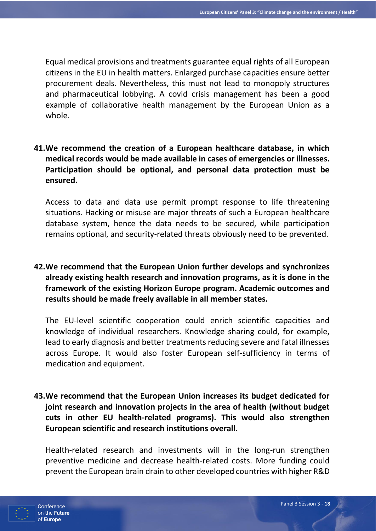Equal medical provisions and treatments guarantee equal rights of all European citizens in the EU in health matters. Enlarged purchase capacities ensure better procurement deals. Nevertheless, this must not lead to monopoly structures and pharmaceutical lobbying. A covid crisis management has been a good example of collaborative health management by the European Union as a whole.

**41.We recommend the creation of a European healthcare database, in which medical records would be made available in cases of emergencies or illnesses. Participation should be optional, and personal data protection must be ensured.**

Access to data and data use permit prompt response to life threatening situations. Hacking or misuse are major threats of such a European healthcare database system, hence the data needs to be secured, while participation remains optional, and security-related threats obviously need to be prevented.

**42.We recommend that the European Union further develops and synchronizes already existing health research and innovation programs, as it is done in the framework of the existing Horizon Europe program. Academic outcomes and results should be made freely available in all member states.**

The EU-level scientific cooperation could enrich scientific capacities and knowledge of individual researchers. Knowledge sharing could, for example, lead to early diagnosis and better treatments reducing severe and fatal illnesses across Europe. It would also foster European self-sufficiency in terms of medication and equipment.

**43.We recommend that the European Union increases its budget dedicated for joint research and innovation projects in the area of health (without budget cuts in other EU health-related programs). This would also strengthen European scientific and research institutions overall.**

Health-related research and investments will in the long-run strengthen preventive medicine and decrease health-related costs. More funding could prevent the European brain drain to other developed countries with higher R&D

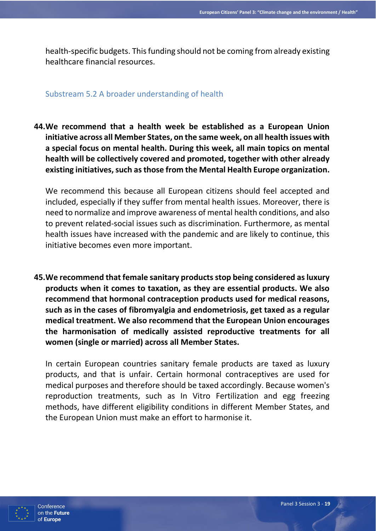health-specific budgets. This funding should not be coming from already existing healthcare financial resources.

#### Substream 5.2 A broader understanding of health

**44.We recommend that a health week be established as a European Union initiative across all Member States, on the same week, on all health issues with a special focus on mental health. During this week, all main topics on mental health will be collectively covered and promoted, together with other already existing initiatives, such as those from the Mental Health Europe organization.**

We recommend this because all European citizens should feel accepted and included, especially if they suffer from mental health issues. Moreover, there is need to normalize and improve awareness of mental health conditions, and also to prevent related-social issues such as discrimination. Furthermore, as mental health issues have increased with the pandemic and are likely to continue, this initiative becomes even more important.

**45.We recommend that female sanitary products stop being considered as luxury products when it comes to taxation, as they are essential products. We also recommend that hormonal contraception products used for medical reasons, such as in the cases of fibromyalgia and endometriosis, get taxed as a regular medical treatment. We also recommend that the European Union encourages the harmonisation of medically assisted reproductive treatments for all women (single or married) across all Member States.** 

In certain European countries sanitary female products are taxed as luxury products, and that is unfair. Certain hormonal contraceptives are used for medical purposes and therefore should be taxed accordingly. Because women's reproduction treatments, such as In Vitro Fertilization and egg freezing methods, have different eligibility conditions in different Member States, and the European Union must make an effort to harmonise it.

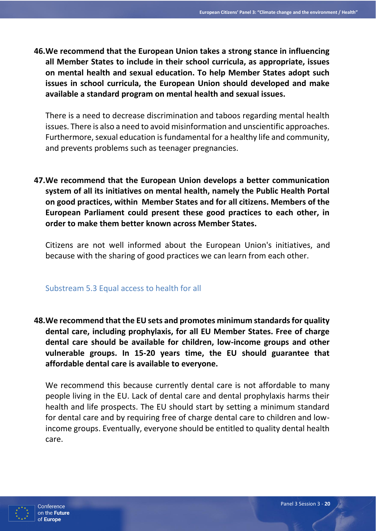**46.We recommend that the European Union takes a strong stance in influencing all Member States to include in their school curricula, as appropriate, issues on mental health and sexual education. To help Member States adopt such issues in school curricula, the European Union should developed and make available a standard program on mental health and sexual issues.**

There is a need to decrease discrimination and taboos regarding mental health issues. There is also a need to avoid misinformation and unscientific approaches. Furthermore, sexual education is fundamental for a healthy life and community, and prevents problems such as teenager pregnancies.

**47.We recommend that the European Union develops a better communication system of all its initiatives on mental health, namely the Public Health Portal on good practices, within Member States and for all citizens. Members of the European Parliament could present these good practices to each other, in order to make them better known across Member States.**

Citizens are not well informed about the European Union's initiatives, and because with the sharing of good practices we can learn from each other.

## Substream 5.3 Equal access to health for all

**48.We recommend that the EU sets and promotes minimum standards for quality dental care, including prophylaxis, for all EU Member States. Free of charge dental care should be available for children, low-income groups and other vulnerable groups. In 15-20 years time, the EU should guarantee that affordable dental care is available to everyone.**

We recommend this because currently dental care is not affordable to many people living in the EU. Lack of dental care and dental prophylaxis harms their health and life prospects. The EU should start by setting a minimum standard for dental care and by requiring free of charge dental care to children and lowincome groups. Eventually, everyone should be entitled to quality dental health care.

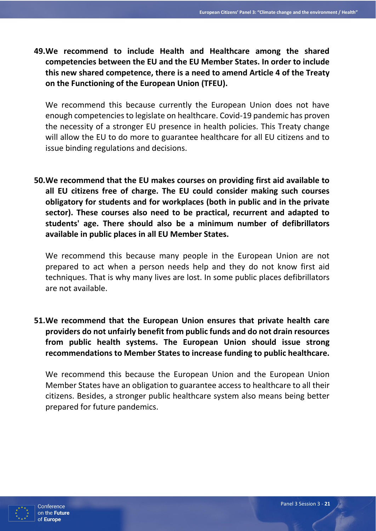**49.We recommend to include Health and Healthcare among the shared competencies between the EU and the EU Member States. In order to include this new shared competence, there is a need to amend Article 4 of the Treaty on the Functioning of the European Union (TFEU).**

We recommend this because currently the European Union does not have enough competencies to legislate on healthcare. Covid-19 pandemic has proven the necessity of a stronger EU presence in health policies. This Treaty change will allow the EU to do more to guarantee healthcare for all EU citizens and to issue binding regulations and decisions.

**50.We recommend that the EU makes courses on providing first aid available to all EU citizens free of charge. The EU could consider making such courses obligatory for students and for workplaces (both in public and in the private sector). These courses also need to be practical, recurrent and adapted to students' age. There should also be a minimum number of defibrillators available in public places in all EU Member States.**

We recommend this because many people in the European Union are not prepared to act when a person needs help and they do not know first aid techniques. That is why many lives are lost. In some public places defibrillators are not available.

**51.We recommend that the European Union ensures that private health care providers do not unfairly benefit from public funds and do not drain resources from public health systems. The European Union should issue strong recommendations to Member States to increase funding to public healthcare.**

We recommend this because the European Union and the European Union Member States have an obligation to guarantee access to healthcare to all their citizens. Besides, a stronger public healthcare system also means being better prepared for future pandemics.

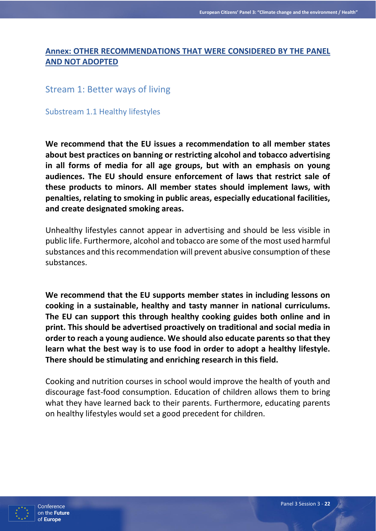## **Annex: OTHER RECOMMENDATIONS THAT WERE CONSIDERED BY THE PANEL AND NOT ADOPTED**

## Stream 1: Better ways of living

Substream 1.1 Healthy lifestyles

**We recommend that the EU issues a recommendation to all member states about best practices on banning or restricting alcohol and tobacco advertising in all forms of media for all age groups, but with an emphasis on young audiences. The EU should ensure enforcement of laws that restrict sale of these products to minors. All member states should implement laws, with penalties, relating to smoking in public areas, especially educational facilities, and create designated smoking areas.**

Unhealthy lifestyles cannot appear in advertising and should be less visible in public life. Furthermore, alcohol and tobacco are some of the most used harmful substances and this recommendation will prevent abusive consumption of these substances.

**We recommend that the EU supports member states in including lessons on cooking in a sustainable, healthy and tasty manner in national curriculums. The EU can support this through healthy cooking guides both online and in print. This should be advertised proactively on traditional and social media in order to reach a young audience. We should also educate parents so that they learn what the best way is to use food in order to adopt a healthy lifestyle. There should be stimulating and enriching research in this field.** 

Cooking and nutrition courses in school would improve the health of youth and discourage fast-food consumption. Education of children allows them to bring what they have learned back to their parents. Furthermore, educating parents on healthy lifestyles would set a good precedent for children.

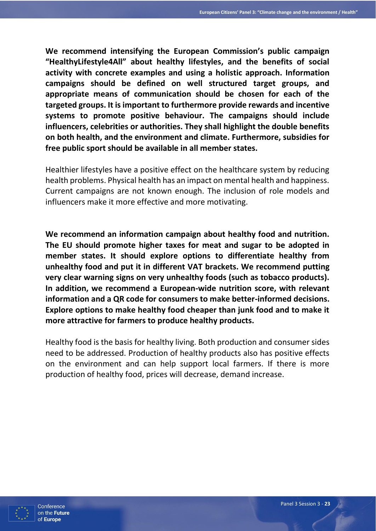**We recommend intensifying the European Commission's public campaign "HealthyLifestyle4All" about healthy lifestyles, and the benefits of social activity with concrete examples and using a holistic approach. Information campaigns should be defined on well structured target groups, and appropriate means of communication should be chosen for each of the targeted groups. It is important to furthermore provide rewards and incentive systems to promote positive behaviour. The campaigns should include influencers, celebrities or authorities. They shall highlight the double benefits on both health, and the environment and climate. Furthermore, subsidies for free public sport should be available in all member states.**

Healthier lifestyles have a positive effect on the healthcare system by reducing health problems. Physical health has an impact on mental health and happiness. Current campaigns are not known enough. The inclusion of role models and influencers make it more effective and more motivating.

**We recommend an information campaign about healthy food and nutrition. The EU should promote higher taxes for meat and sugar to be adopted in member states. It should explore options to differentiate healthy from unhealthy food and put it in different VAT brackets. We recommend putting very clear warning signs on very unhealthy foods (such as tobacco products). In addition, we recommend a European-wide nutrition score, with relevant information and a QR code for consumers to make better-informed decisions. Explore options to make healthy food cheaper than junk food and to make it more attractive for farmers to produce healthy products.** 

Healthy food is the basis for healthy living. Both production and consumer sides need to be addressed. Production of healthy products also has positive effects on the environment and can help support local farmers. If there is more production of healthy food, prices will decrease, demand increase.

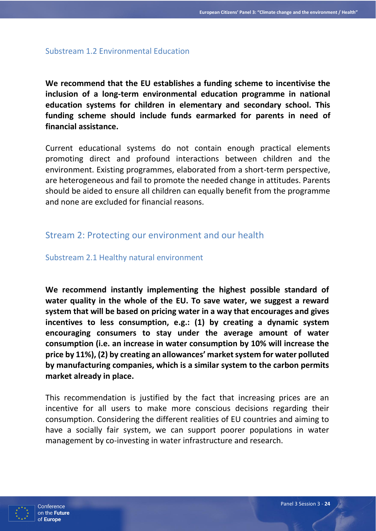#### Substream 1.2 Environmental Education

**We recommend that the EU establishes a funding scheme to incentivise the inclusion of a long-term environmental education programme in national education systems for children in elementary and secondary school. This funding scheme should include funds earmarked for parents in need of financial assistance.**

Current educational systems do not contain enough practical elements promoting direct and profound interactions between children and the environment. Existing programmes, elaborated from a short-term perspective, are heterogeneous and fail to promote the needed change in attitudes. Parents should be aided to ensure all children can equally benefit from the programme and none are excluded for financial reasons.

# Stream 2: Protecting our environment and our health

Substream 2.1 Healthy natural environment

**We recommend instantly implementing the highest possible standard of water quality in the whole of the EU. To save water, we suggest a reward system that will be based on pricing water in a way that encourages and gives incentives to less consumption, e.g.: (1) by creating a dynamic system encouraging consumers to stay under the average amount of water consumption (i.e. an increase in water consumption by 10% will increase the price by 11%), (2) by creating an allowances' market system for water polluted by manufacturing companies, which is a similar system to the carbon permits market already in place.**

This recommendation is justified by the fact that increasing prices are an incentive for all users to make more conscious decisions regarding their consumption. Considering the different realities of EU countries and aiming to have a socially fair system, we can support poorer populations in water management by co-investing in water infrastructure and research.

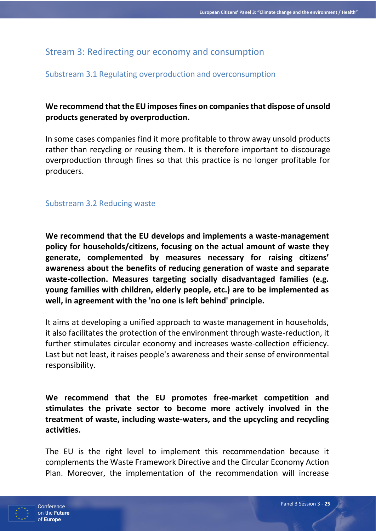# Stream 3: Redirecting our economy and consumption

## Substream 3.1 Regulating overproduction and overconsumption

# **We recommend that the EU imposes fines on companies that dispose of unsold products generated by overproduction.**

In some cases companies find it more profitable to throw away unsold products rather than recycling or reusing them. It is therefore important to discourage overproduction through fines so that this practice is no longer profitable for producers.

#### Substream 3.2 Reducing waste

**We recommend that the EU develops and implements a waste-management policy for households/citizens, focusing on the actual amount of waste they generate, complemented by measures necessary for raising citizens' awareness about the benefits of reducing generation of waste and separate waste-collection. Measures targeting socially disadvantaged families (e.g. young families with children, elderly people, etc.) are to be implemented as well, in agreement with the 'no one is left behind' principle.**

It aims at developing a unified approach to waste management in households, it also facilitates the protection of the environment through waste-reduction, it further stimulates circular economy and increases waste-collection efficiency. Last but not least, it raises people's awareness and their sense of environmental responsibility.

**We recommend that the EU promotes free-market competition and stimulates the private sector to become more actively involved in the treatment of waste, including waste-waters, and the upcycling and recycling activities.**

The EU is the right level to implement this recommendation because it complements the Waste Framework Directive and the Circular Economy Action Plan. Moreover, the implementation of the recommendation will increase

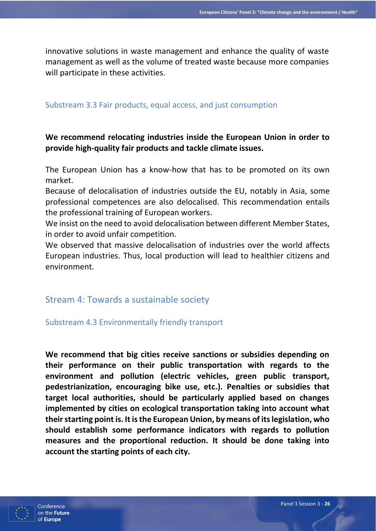innovative solutions in waste management and enhance the quality of waste management as well as the volume of treated waste because more companies will participate in these activities.

#### Substream 3.3 Fair products, equal access, and just consumption

# **We recommend relocating industries inside the European Union in order to provide high-quality fair products and tackle climate issues.**

The European Union has a know-how that has to be promoted on its own market.

Because of delocalisation of industries outside the EU, notably in Asia, some professional competences are also delocalised. This recommendation entails the professional training of European workers.

We insist on the need to avoid delocalisation between different Member States, in order to avoid unfair competition.

We observed that massive delocalisation of industries over the world affects European industries. Thus, local production will lead to healthier citizens and environment.

# Stream 4: Towards a sustainable society

## Substream 4.3 Environmentally friendly transport

**We recommend that big cities receive sanctions or subsidies depending on their performance on their public transportation with regards to the environment and pollution (electric vehicles, green public transport, pedestrianization, encouraging bike use, etc.). Penalties or subsidies that target local authorities, should be particularly applied based on changes implemented by cities on ecological transportation taking into account what their starting point is. It is the European Union, by means of its legislation, who should establish some performance indicators with regards to pollution measures and the proportional reduction. It should be done taking into account the starting points of each city.**